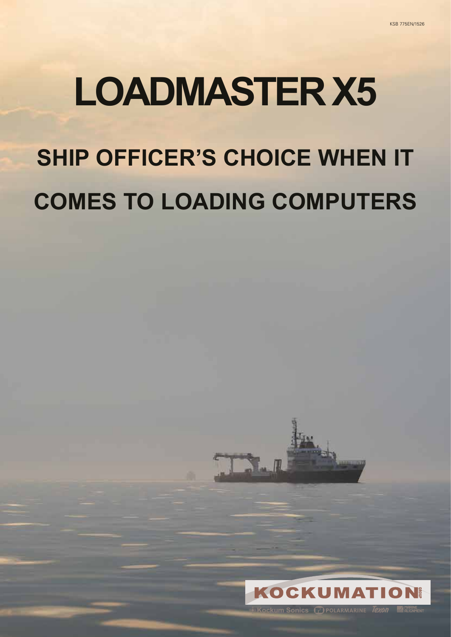# **LOADMASTER X5 SHIP OFFICER'S CHOICE WHEN IT COMES TO LOADING COMPUTERS**



1

Cockum Sonics ProLARMARINE Texon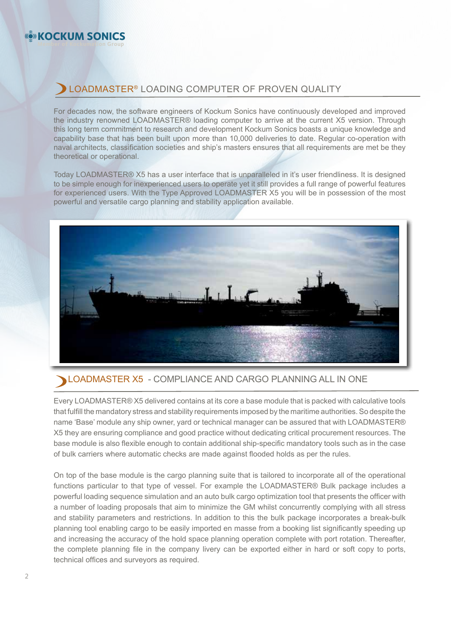#### **Member of Kockumation Group KOCKUM SONICS**

# LOADMASTER® LOADING COMPUTER OF PROVEN QUALITY

For decades now, the software engineers of Kockum Sonics have continuously developed and improved the industry renowned LOADMASTER® loading computer to arrive at the current X5 version. Through this long term commitment to research and development Kockum Sonics boasts a unique knowledge and capability base that has been built upon more than 10,000 deliveries to date. Regular co-operation with naval architects, classification societies and ship's masters ensures that all requirements are met be they theoretical or operational.

Today LOADMASTER® X5 has a user interface that is unparalleled in it's user friendliness. It is designed to be simple enough for inexperienced users to operate yet it still provides a full range of powerful features for experienced users. With the Type Approved LOADMASTER X5 you will be in possession of the most powerful and versatile cargo planning and stability application available.



### LOADMASTER X5 - COMPLIANCE AND CARGO PLANNING ALL IN ONE

Every LOADMASTER® X5 delivered contains at its core a base module that is packed with calculative tools that fulfill the mandatory stress and stability requirements imposed by the maritime authorities. So despite the name 'Base' module any ship owner, yard or technical manager can be assured that with LOADMASTER® X5 they are ensuring compliance and good practice without dedicating critical procurement resources. The base module is also flexible enough to contain additional ship-specific mandatory tools such as in the case of bulk carriers where automatic checks are made against flooded holds as per the rules.

On top of the base module is the cargo planning suite that is tailored to incorporate all of the operational functions particular to that type of vessel. For example the LOADMASTER® Bulk package includes a powerful loading sequence simulation and an auto bulk cargo optimization tool that presents the officer with a number of loading proposals that aim to minimize the GM whilst concurrently complying with all stress and stability parameters and restrictions. In addition to this the bulk package incorporates a break-bulk planning tool enabling cargo to be easily imported en masse from a booking list significantly speeding up and increasing the accuracy of the hold space planning operation complete with port rotation. Thereafter, the complete planning file in the company livery can be exported either in hard or soft copy to ports, technical offices and surveyors as required.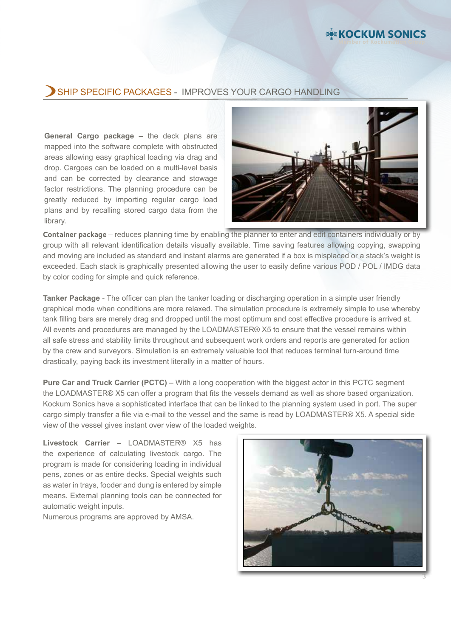### SHIP SPECIFIC PACKAGES - IMPROVES YOUR CARGO HANDLING

**General Cargo package** – the deck plans are mapped into the software complete with obstructed areas allowing easy graphical loading via drag and drop. Cargoes can be loaded on a multi-level basis and can be corrected by clearance and stowage factor restrictions. The planning procedure can be greatly reduced by importing regular cargo load plans and by recalling stored cargo data from the library.



**KOCKUM SONICS** 

**Container package** – reduces planning time by enabling the planner to enter and edit containers individually or by group with all relevant identification details visually available. Time saving features allowing copying, swapping and moving are included as standard and instant alarms are generated if a box is misplaced or a stack's weight is exceeded. Each stack is graphically presented allowing the user to easily define various POD / POL / IMDG data by color coding for simple and quick reference.

**Tanker Package** - The officer can plan the tanker loading or discharging operation in a simple user friendly graphical mode when conditions are more relaxed. The simulation procedure is extremely simple to use whereby tank filling bars are merely drag and dropped until the most optimum and cost effective procedure is arrived at. All events and procedures are managed by the LOADMASTER® X5 to ensure that the vessel remains within all safe stress and stability limits throughout and subsequent work orders and reports are generated for action by the crew and surveyors. Simulation is an extremely valuable tool that reduces terminal turn-around time drastically, paying back its investment literally in a matter of hours.

**Pure Car and Truck Carrier (PCTC)** – With a long cooperation with the biggest actor in this PCTC segment the LOADMASTER® X5 can offer a program that fits the vessels demand as well as shore based organization. Kockum Sonics have a sophisticated interface that can be linked to the planning system used in port. The super cargo simply transfer a file via e-mail to the vessel and the same is read by LOADMASTER® X5. A special side view of the vessel gives instant over view of the loaded weights.

**Livestock Carrier –** LOADMASTER® X5 has the experience of calculating livestock cargo. The program is made for considering loading in individual pens, zones or as entire decks. Special weights such as water in trays, fooder and dung is entered by simple means. External planning tools can be connected for automatic weight inputs.

Numerous programs are approved by AMSA.

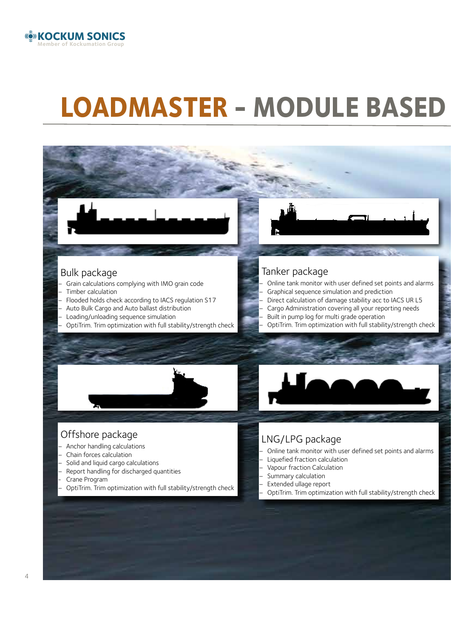

# **LOADMASTER - MODULE BASED**

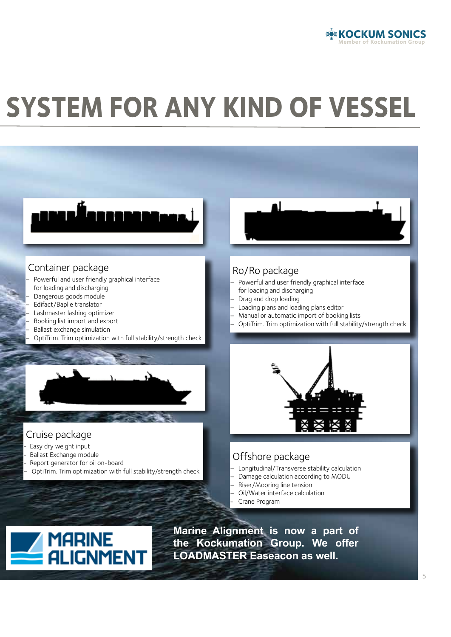

# *SYSTEM FOR ANY KIND OF VESSEL*



**LOADMASTER Easeacon as well.** 

**ALIGNMENT**